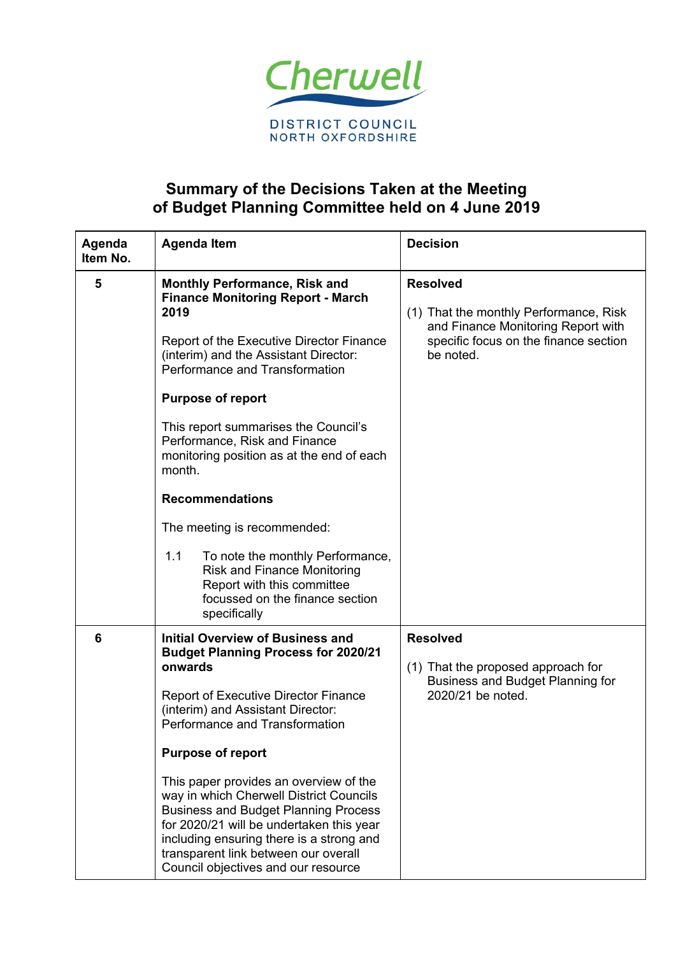

## **Summary of the Decisions Taken at the Meeting of Budget Planning Committee held on 4 June 2019**

| Agenda<br>Item No. | <b>Agenda Item</b>                                                                                                                                                                                                                                                                                                                                                                                                                                                                                                                                            | <b>Decision</b>                                                                                                                                       |  |
|--------------------|---------------------------------------------------------------------------------------------------------------------------------------------------------------------------------------------------------------------------------------------------------------------------------------------------------------------------------------------------------------------------------------------------------------------------------------------------------------------------------------------------------------------------------------------------------------|-------------------------------------------------------------------------------------------------------------------------------------------------------|--|
| 5                  | <b>Monthly Performance, Risk and</b><br><b>Finance Monitoring Report - March</b><br>2019<br>Report of the Executive Director Finance<br>(interim) and the Assistant Director:<br>Performance and Transformation<br><b>Purpose of report</b><br>This report summarises the Council's<br>Performance, Risk and Finance<br>monitoring position as at the end of each<br>month.<br><b>Recommendations</b><br>The meeting is recommended:                                                                                                                          | <b>Resolved</b><br>(1) That the monthly Performance, Risk<br>and Finance Monitoring Report with<br>specific focus on the finance section<br>be noted. |  |
|                    | 1.1<br>To note the monthly Performance,<br><b>Risk and Finance Monitoring</b><br>Report with this committee<br>focussed on the finance section<br>specifically                                                                                                                                                                                                                                                                                                                                                                                                |                                                                                                                                                       |  |
| 6                  | <b>Initial Overview of Business and</b><br><b>Budget Planning Process for 2020/21</b><br>onwards<br><b>Report of Executive Director Finance</b><br>(interim) and Assistant Director:<br>Performance and Transformation<br><b>Purpose of report</b><br>This paper provides an overview of the<br>way in which Cherwell District Councils<br><b>Business and Budget Planning Process</b><br>for 2020/21 will be undertaken this year<br>including ensuring there is a strong and<br>transparent link between our overall<br>Council objectives and our resource | <b>Resolved</b><br>(1) That the proposed approach for<br><b>Business and Budget Planning for</b><br>2020/21 be noted.                                 |  |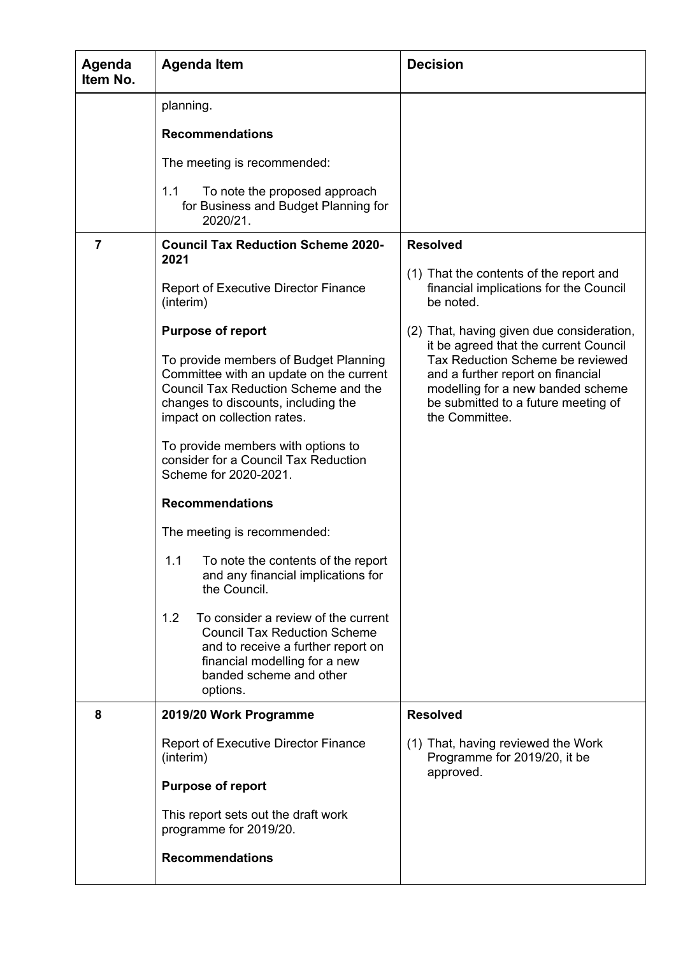| Agenda<br>Item No. | <b>Agenda Item</b>                                                                                                                                                                              | <b>Decision</b>                                                                                                                                                     |  |
|--------------------|-------------------------------------------------------------------------------------------------------------------------------------------------------------------------------------------------|---------------------------------------------------------------------------------------------------------------------------------------------------------------------|--|
|                    | planning.                                                                                                                                                                                       |                                                                                                                                                                     |  |
|                    | <b>Recommendations</b>                                                                                                                                                                          |                                                                                                                                                                     |  |
|                    | The meeting is recommended:                                                                                                                                                                     |                                                                                                                                                                     |  |
|                    | 1.1<br>To note the proposed approach<br>for Business and Budget Planning for<br>2020/21.                                                                                                        |                                                                                                                                                                     |  |
| $\overline{7}$     | <b>Council Tax Reduction Scheme 2020-</b><br>2021                                                                                                                                               | <b>Resolved</b>                                                                                                                                                     |  |
|                    | <b>Report of Executive Director Finance</b><br>(interim)                                                                                                                                        | (1) That the contents of the report and<br>financial implications for the Council<br>be noted.                                                                      |  |
|                    | <b>Purpose of report</b>                                                                                                                                                                        | (2) That, having given due consideration,<br>it be agreed that the current Council                                                                                  |  |
|                    | To provide members of Budget Planning<br>Committee with an update on the current<br>Council Tax Reduction Scheme and the<br>changes to discounts, including the<br>impact on collection rates.  | Tax Reduction Scheme be reviewed<br>and a further report on financial<br>modelling for a new banded scheme<br>be submitted to a future meeting of<br>the Committee. |  |
|                    | To provide members with options to<br>consider for a Council Tax Reduction<br>Scheme for 2020-2021.                                                                                             |                                                                                                                                                                     |  |
|                    | <b>Recommendations</b>                                                                                                                                                                          |                                                                                                                                                                     |  |
|                    | The meeting is recommended:                                                                                                                                                                     |                                                                                                                                                                     |  |
|                    | To note the contents of the report<br>1.1<br>and any financial implications for<br>the Council.                                                                                                 |                                                                                                                                                                     |  |
|                    | 1.2<br>To consider a review of the current<br><b>Council Tax Reduction Scheme</b><br>and to receive a further report on<br>financial modelling for a new<br>banded scheme and other<br>options. |                                                                                                                                                                     |  |
| 8                  | 2019/20 Work Programme                                                                                                                                                                          | <b>Resolved</b>                                                                                                                                                     |  |
|                    | <b>Report of Executive Director Finance</b><br>(interim)                                                                                                                                        | (1) That, having reviewed the Work<br>Programme for 2019/20, it be<br>approved.                                                                                     |  |
|                    | <b>Purpose of report</b>                                                                                                                                                                        |                                                                                                                                                                     |  |
|                    | This report sets out the draft work<br>programme for 2019/20.                                                                                                                                   |                                                                                                                                                                     |  |
|                    | <b>Recommendations</b>                                                                                                                                                                          |                                                                                                                                                                     |  |